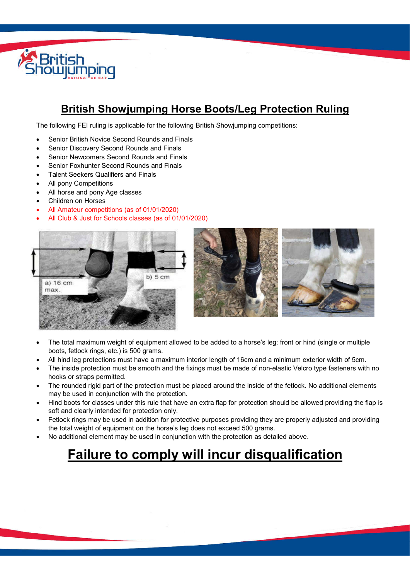

## **British Showjumping Horse Boots/Leg Protection Ruling**

The following FEI ruling is applicable for the following British Showjumping competitions:

- Senior British Novice Second Rounds and Finals
- Senior Discovery Second Rounds and Finals
- Senior Newcomers Second Rounds and Finals
- Senior Foxhunter Second Rounds and Finals
- Talent Seekers Qualifiers and Finals
- All pony Competitions
- All horse and pony Age classes
- Children on Horses
- All Amateur competitions (as of 01/01/2020)
- All Club & Just for Schools classes (as of 01/01/2020)





- The total maximum weight of equipment allowed to be added to a horse's leg; front or hind (single or multiple boots, fetlock rings, etc.) is 500 grams.
- All hind leg protections must have a maximum interior length of 16cm and a minimum exterior width of 5cm.
- The inside protection must be smooth and the fixings must be made of non-elastic Velcro type fasteners with no hooks or straps permitted.
- The rounded rigid part of the protection must be placed around the inside of the fetlock. No additional elements may be used in conjunction with the protection.
- Hind boots for classes under this rule that have an extra flap for protection should be allowed providing the flap is soft and clearly intended for protection only.
- Fetlock rings may be used in addition for protective purposes providing they are properly adjusted and providing the total weight of equipment on the horse's leg does not exceed 500 grams.
- No additional element may be used in conjunction with the protection as detailed above.

# **Failure to comply will incur disqualification**